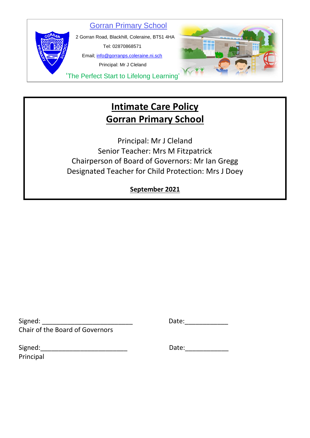Gorran Primary School



 2 Gorran Road, Blackhill, Coleraine, BT51 4HA Tel: 02870868571 Email; info@gorranps.coleraine.ni.sch

Principal: Mr J Cleland

'The Perfect Start to Lifelong Learning'

## **Intimate Care Policy Gorran Primary School**

Principal: Mr J Cleland Senior Teacher: Mrs M Fitzpatrick Chairperson of Board of Governors: Mr Ian Gregg Designated Teacher for Child Protection: Mrs J Doey

## **September 2021**

Signed: \_\_\_\_\_\_\_\_\_\_\_\_\_\_\_\_\_\_\_\_\_\_\_\_\_ Date:\_\_\_\_\_\_\_\_\_\_\_\_ Chair of the Board of Governors

Signed: The Contract of the Contract of the Contract of Date: Principal